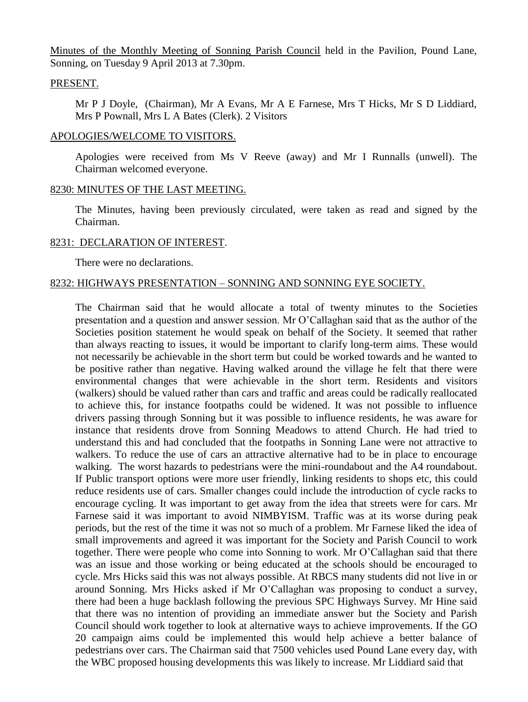Minutes of the Monthly Meeting of Sonning Parish Council held in the Pavilion, Pound Lane, Sonning, on Tuesday 9 April 2013 at 7.30pm.

#### PRESENT.

Mr P J Doyle, (Chairman), Mr A Evans, Mr A E Farnese, Mrs T Hicks, Mr S D Liddiard, Mrs P Pownall, Mrs L A Bates (Clerk). 2 Visitors

### APOLOGIES/WELCOME TO VISITORS.

Apologies were received from Ms V Reeve (away) and Mr I Runnalls (unwell). The Chairman welcomed everyone.

### 8230: MINUTES OF THE LAST MEETING.

The Minutes, having been previously circulated, were taken as read and signed by the Chairman.

### 8231: DECLARATION OF INTEREST.

There were no declarations.

# 8232: HIGHWAYS PRESENTATION – SONNING AND SONNING EYE SOCIETY.

The Chairman said that he would allocate a total of twenty minutes to the Societies presentation and a question and answer session. Mr O'Callaghan said that as the author of the Societies position statement he would speak on behalf of the Society. It seemed that rather than always reacting to issues, it would be important to clarify long-term aims. These would not necessarily be achievable in the short term but could be worked towards and he wanted to be positive rather than negative. Having walked around the village he felt that there were environmental changes that were achievable in the short term. Residents and visitors (walkers) should be valued rather than cars and traffic and areas could be radically reallocated to achieve this, for instance footpaths could be widened. It was not possible to influence drivers passing through Sonning but it was possible to influence residents, he was aware for instance that residents drove from Sonning Meadows to attend Church. He had tried to understand this and had concluded that the footpaths in Sonning Lane were not attractive to walkers. To reduce the use of cars an attractive alternative had to be in place to encourage walking. The worst hazards to pedestrians were the mini-roundabout and the A4 roundabout. If Public transport options were more user friendly, linking residents to shops etc, this could reduce residents use of cars. Smaller changes could include the introduction of cycle racks to encourage cycling. It was important to get away from the idea that streets were for cars. Mr Farnese said it was important to avoid NIMBYISM. Traffic was at its worse during peak periods, but the rest of the time it was not so much of a problem. Mr Farnese liked the idea of small improvements and agreed it was important for the Society and Parish Council to work together. There were people who come into Sonning to work. Mr O'Callaghan said that there was an issue and those working or being educated at the schools should be encouraged to cycle. Mrs Hicks said this was not always possible. At RBCS many students did not live in or around Sonning. Mrs Hicks asked if Mr O'Callaghan was proposing to conduct a survey, there had been a huge backlash following the previous SPC Highways Survey. Mr Hine said that there was no intention of providing an immediate answer but the Society and Parish Council should work together to look at alternative ways to achieve improvements. If the GO 20 campaign aims could be implemented this would help achieve a better balance of pedestrians over cars. The Chairman said that 7500 vehicles used Pound Lane every day, with the WBC proposed housing developments this was likely to increase. Mr Liddiard said that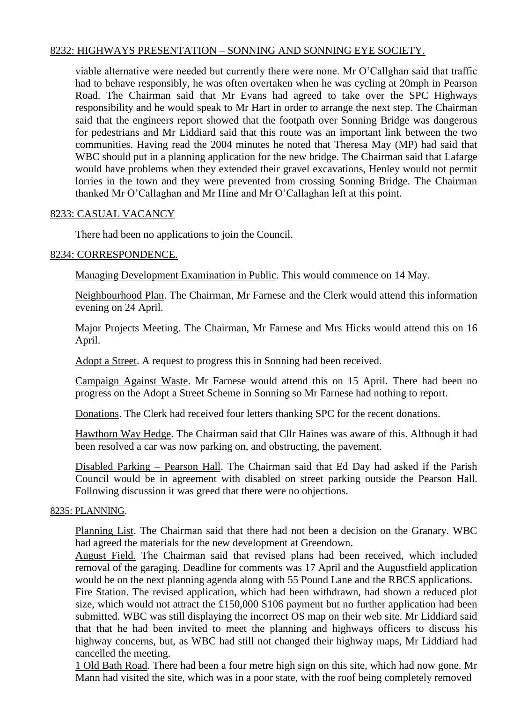## 8232: HIGHWAYS PRESENTATION – SONNING AND SONNING EYE SOCIETY.

viable alternative were needed but currently there were none. Mr O'Callghan said that traffic had to behave responsibly, he was often overtaken when he was cycling at 20mph in Pearson Road. The Chairman said that Mr Evans had agreed to take over the SPC Highways responsibility and he would speak to Mr Hart in order to arrange the next step. The Chairman said that the engineers report showed that the footpath over Sonning Bridge was dangerous for pedestrians and Mr Liddiard said that this route was an important link between the two communities. Having read the 2004 minutes he noted that Theresa May (MP) had said that WBC should put in a planning application for the new bridge. The Chairman said that Lafarge would have problems when they extended their gravel excavations, Henley would not permit lorries in the town and they were prevented from crossing Sonning Bridge. The Chairman thanked Mr O'Callaghan and Mr Hine and Mr O'Callaghan left at this point.

## 8233: CASUAL VACANCY

There had been no applications to join the Council.

### 8234: CORRESPONDENCE.

Managing Development Examination in Public. This would commence on 14 May.

Neighbourhood Plan. The Chairman, Mr Farnese and the Clerk would attend this information evening on 24 April.

Major Projects Meeting. The Chairman, Mr Farnese and Mrs Hicks would attend this on 16 April.

Adopt a Street. A request to progress this in Sonning had been received.

Campaign Against Waste. Mr Farnese would attend this on 15 April. There had been no progress on the Adopt a Street Scheme in Sonning so Mr Farnese had nothing to report.

Donations. The Clerk had received four letters thanking SPC for the recent donations.

Hawthorn Way Hedge. The Chairman said that Cllr Haines was aware of this. Although it had been resolved a car was now parking on, and obstructing, the pavement.

Disabled Parking – Pearson Hall. The Chairman said that Ed Day had asked if the Parish Council would be in agreement with disabled on street parking outside the Pearson Hall. Following discussion it was greed that there were no objections.

#### 8235: PLANNING.

Planning List. The Chairman said that there had not been a decision on the Granary. WBC had agreed the materials for the new development at Greendown.

August Field. The Chairman said that revised plans had been received, which included removal of the garaging. Deadline for comments was 17 April and the Augustfield application would be on the next planning agenda along with 55 Pound Lane and the RBCS applications.

Fire Station. The revised application, which had been withdrawn, had shown a reduced plot size, which would not attract the £150,000 S106 payment but no further application had been submitted. WBC was still displaying the incorrect OS map on their web site. Mr Liddiard said that that he had been invited to meet the planning and highways officers to discuss his highway concerns, but, as WBC had still not changed their highway maps, Mr Liddiard had cancelled the meeting.

1 Old Bath Road. There had been a four metre high sign on this site, which had now gone. Mr Mann had visited the site, which was in a poor state, with the roof being completely removed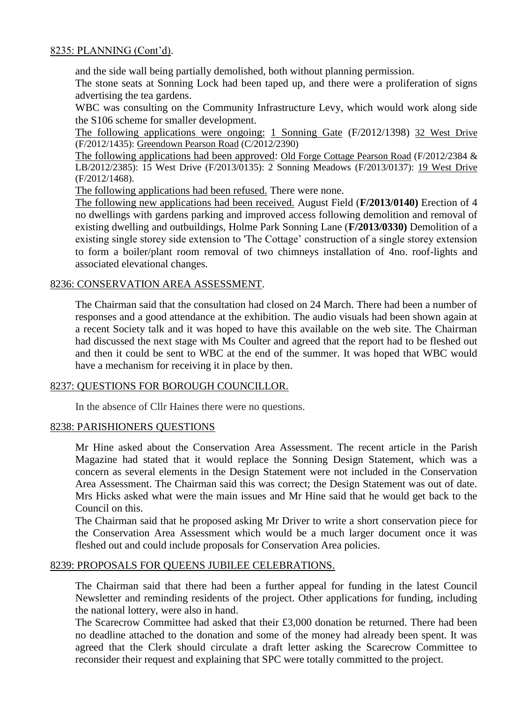## 8235: PLANNING (Cont'd).

and the side wall being partially demolished, both without planning permission.

The stone seats at Sonning Lock had been taped up, and there were a proliferation of signs advertising the tea gardens.

WBC was consulting on the Community Infrastructure Levy, which would work along side the S106 scheme for smaller development.

The following applications were ongoing: 1 Sonning Gate (F/2012/1398) 32 West Drive (F/2012/1435): Greendown Pearson Road (C/2012/2390)

The following applications had been approved: Old Forge Cottage Pearson Road (F/2012/2384 & LB/2012/2385): 15 West Drive (F/2013/0135): 2 Sonning Meadows (F/2013/0137): 19 West Drive (F/2012/1468).

The following applications had been refused. There were none.

The following new applications had been received. August Field (**F/2013/0140)** Erection of 4 no dwellings with gardens parking and improved access following demolition and removal of existing dwelling and outbuildings, Holme Park Sonning Lane (**F/2013/0330)** Demolition of a existing single storey side extension to 'The Cottage' construction of a single storey extension to form a boiler/plant room removal of two chimneys installation of 4no. roof-lights and associated elevational changes.

### 8236: CONSERVATION AREA ASSESSMENT.

The Chairman said that the consultation had closed on 24 March. There had been a number of responses and a good attendance at the exhibition. The audio visuals had been shown again at a recent Society talk and it was hoped to have this available on the web site. The Chairman had discussed the next stage with Ms Coulter and agreed that the report had to be fleshed out and then it could be sent to WBC at the end of the summer. It was hoped that WBC would have a mechanism for receiving it in place by then.

#### 8237: QUESTIONS FOR BOROUGH COUNCILLOR.

In the absence of Cllr Haines there were no questions.

#### 8238: PARISHIONERS QUESTIONS

Mr Hine asked about the Conservation Area Assessment. The recent article in the Parish Magazine had stated that it would replace the Sonning Design Statement, which was a concern as several elements in the Design Statement were not included in the Conservation Area Assessment. The Chairman said this was correct; the Design Statement was out of date. Mrs Hicks asked what were the main issues and Mr Hine said that he would get back to the Council on this.

The Chairman said that he proposed asking Mr Driver to write a short conservation piece for the Conservation Area Assessment which would be a much larger document once it was fleshed out and could include proposals for Conservation Area policies.

### 8239: PROPOSALS FOR QUEENS JUBILEE CELEBRATIONS.

The Chairman said that there had been a further appeal for funding in the latest Council Newsletter and reminding residents of the project. Other applications for funding, including the national lottery, were also in hand.

The Scarecrow Committee had asked that their £3,000 donation be returned. There had been no deadline attached to the donation and some of the money had already been spent. It was agreed that the Clerk should circulate a draft letter asking the Scarecrow Committee to reconsider their request and explaining that SPC were totally committed to the project.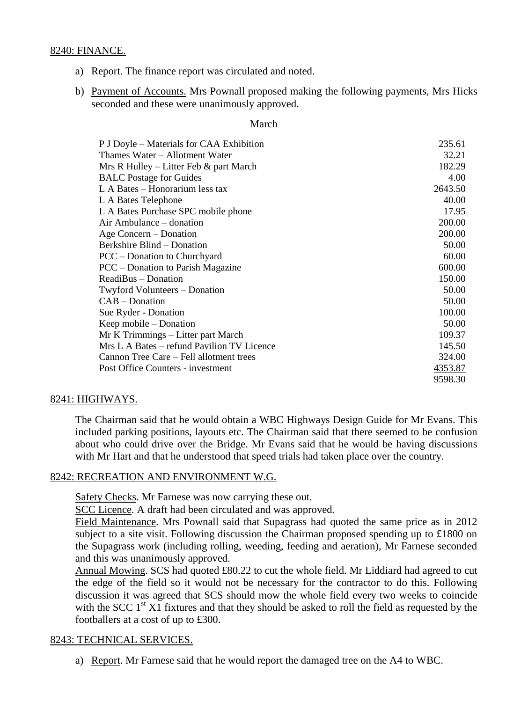### 8240: FINANCE.

- a) Report. The finance report was circulated and noted.
- b) Payment of Accounts. Mrs Pownall proposed making the following payments, Mrs Hicks seconded and these were unanimously approved.

#### March

| P J Doyle – Materials for CAA Exhibition   | 235.61  |
|--------------------------------------------|---------|
| Thames Water – Allotment Water             | 32.21   |
| Mrs R Hulley – Litter Feb $\&$ part March  | 182.29  |
| <b>BALC</b> Postage for Guides             | 4.00    |
| L A Bates – Honorarium less tax            | 2643.50 |
| L A Bates Telephone                        | 40.00   |
| L A Bates Purchase SPC mobile phone        | 17.95   |
| Air Ambulance – donation                   | 200.00  |
| Age Concern – Donation                     | 200.00  |
| Berkshire Blind – Donation                 | 50.00   |
| PCC – Donation to Churchyard               | 60.00   |
| PCC – Donation to Parish Magazine          | 600.00  |
| ReadiBus – Donation                        | 150.00  |
| Twyford Volunteers – Donation              | 50.00   |
| $CAB - Donation$                           | 50.00   |
| Sue Ryder - Donation                       | 100.00  |
| Keep mobile – Donation                     | 50.00   |
| Mr K Trimmings – Litter part March         | 109.37  |
| Mrs L A Bates – refund Pavilion TV Licence | 145.50  |
| Cannon Tree Care – Fell allotment trees    | 324.00  |
| Post Office Counters - investment          | 4353.87 |
|                                            | 9598.30 |

### 8241: HIGHWAYS.

The Chairman said that he would obtain a WBC Highways Design Guide for Mr Evans. This included parking positions, layouts etc. The Chairman said that there seemed to be confusion about who could drive over the Bridge. Mr Evans said that he would be having discussions with Mr Hart and that he understood that speed trials had taken place over the country.

#### 8242: RECREATION AND ENVIRONMENT W.G.

Safety Checks. Mr Farnese was now carrying these out.

SCC Licence. A draft had been circulated and was approved.

Field Maintenance. Mrs Pownall said that Supagrass had quoted the same price as in 2012 subject to a site visit. Following discussion the Chairman proposed spending up to £1800 on the Supagrass work (including rolling, weeding, feeding and aeration), Mr Farnese seconded and this was unanimously approved.

Annual Mowing. SCS had quoted £80.22 to cut the whole field. Mr Liddiard had agreed to cut the edge of the field so it would not be necessary for the contractor to do this. Following discussion it was agreed that SCS should mow the whole field every two weeks to coincide with the SCC  $1<sup>st</sup> X1$  fixtures and that they should be asked to roll the field as requested by the footballers at a cost of up to £300.

### 8243: TECHNICAL SERVICES.

a) Report. Mr Farnese said that he would report the damaged tree on the A4 to WBC.